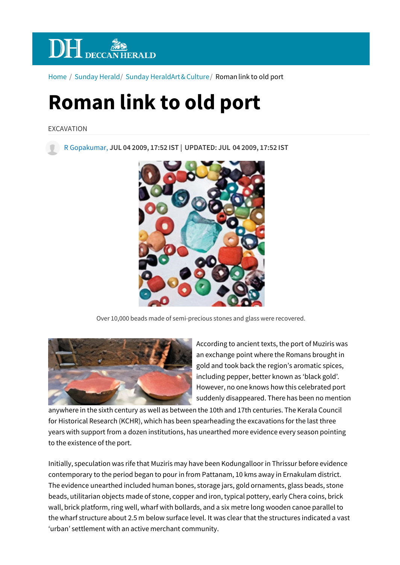

Home / Sunday Herald/ Sunday HeraldArt & Culture / Roman link to old port

## **Roman link to old port**

EXCAVATION

R Gopakumar, **JUL 04 2009, 17:52 IST | UPDATED: JUL 04 2009, 17:52 IST**



Over 10,000 beads made of semi-precious stones and glass were recovered.



According to ancient texts, the port of Muziris was an exchange point where the Romans brought in gold and took back the region's aromatic spices, including pepper, better known as 'black gold'. However, no one knows how this celebrated port suddenly disappeared. There has been no mention

anywhere in the sixth century as well as between the 10th and 17th centuries. The Kerala Council for Historical Research (KCHR), which has been spearheading the excavations for the last three years with support from a dozen institutions, has unearthed more evidence every season pointing to the existence of the port.

Initially, speculation was rife that Muziris may have been Kodungalloor in Thrissur before evidence contemporary to the period began to pour in from Pattanam, 10 kms away in Ernakulam district. The evidence unearthed included human bones, storage jars, gold ornaments, glass beads, stone beads, utilitarian objects made of stone, copper and iron, typical pottery, early Chera coins, brick wall, brick platform, ring well, wharf with bollards, and a six metre long wooden canoe parallel to the wharf structure about 2.5 m below surface level. It was clear that the structures indicated a vast 'urban' settlement with an active merchant community.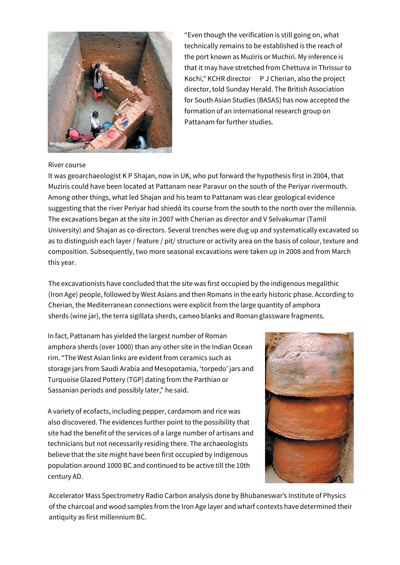

"Even though the verification is still going on, what technically remains to be established is the reach of the port known as Muziris or Muchiri. My inference is that it may have stretched from Chettuva in Thrissur to Kochi," KCHR director P J Cherian, also the project director, told Sunday Herald. The British Association for South Asian Studies (BASAS) has now accepted the formation of an international research group on Pattanam for further studies.

## River course

It was geoarchaeologist K P Shajan, now in UK, who put forward the hypothesis first in 2004, that Muziris could have been located at Pattanam near Paravur on the south of the Periyar rivermouth. Among other things, what led Shajan and his team to Pattanam was clear geological evidence suggesting that the river Periyar had shiedἀ its course from the south to the north over the millennia. The excavations began at the site in 2007 with Cherian as director and V Selvakumar (Tamil University) and Shajan as co-directors. Several trenches were dug up and systematically excavated so as to distinguish each layer / feature / pit/ structure or activity area on the basis of colour, texture and composition. Subsequently, two more seasonal excavations were taken up in 2008 and from March this year.

The excavationists have concluded that the site was first occupied by the indigenous megalithic (Iron Age) people, followed by West Asians and then Romans in the early historic phase. According to Cherian, the Mediterranean connections were explicit from the large quantity of amphora sherds (wine jar), the terra sigillata sherds, cameo blanks and Roman glassware fragments.

In fact, Pattanam has yielded the largest number of Roman amphora sherds (over 1000) than any other site in the Indian Ocean rim. "The West Asian links are evident from ceramics such as storage jars from Saudi Arabia and Mesopotamia, 'torpedo' jars and Turquoise Glazed Pottery (TGP) dating from the Parthian or Sassanian periods and possibly later," he said.

A variety of ecofacts, including pepper, cardamom and rice was also discovered. The evidences further point to the possibility that site had the benefit of the services of a large number of artisans and technicians but not necessarily residing there. The archaeologists believe that the site might have been first occupied by indigenous population around 1000 BC and continued to be active till the 10th century AD.



Accelerator Mass Spectrometry Radio Carbon analysis done by Bhubaneswar's Institute of Physics of the charcoal and wood samples from the Iron Age layer and wharf contexts have determined their antiquity as first millennium BC.